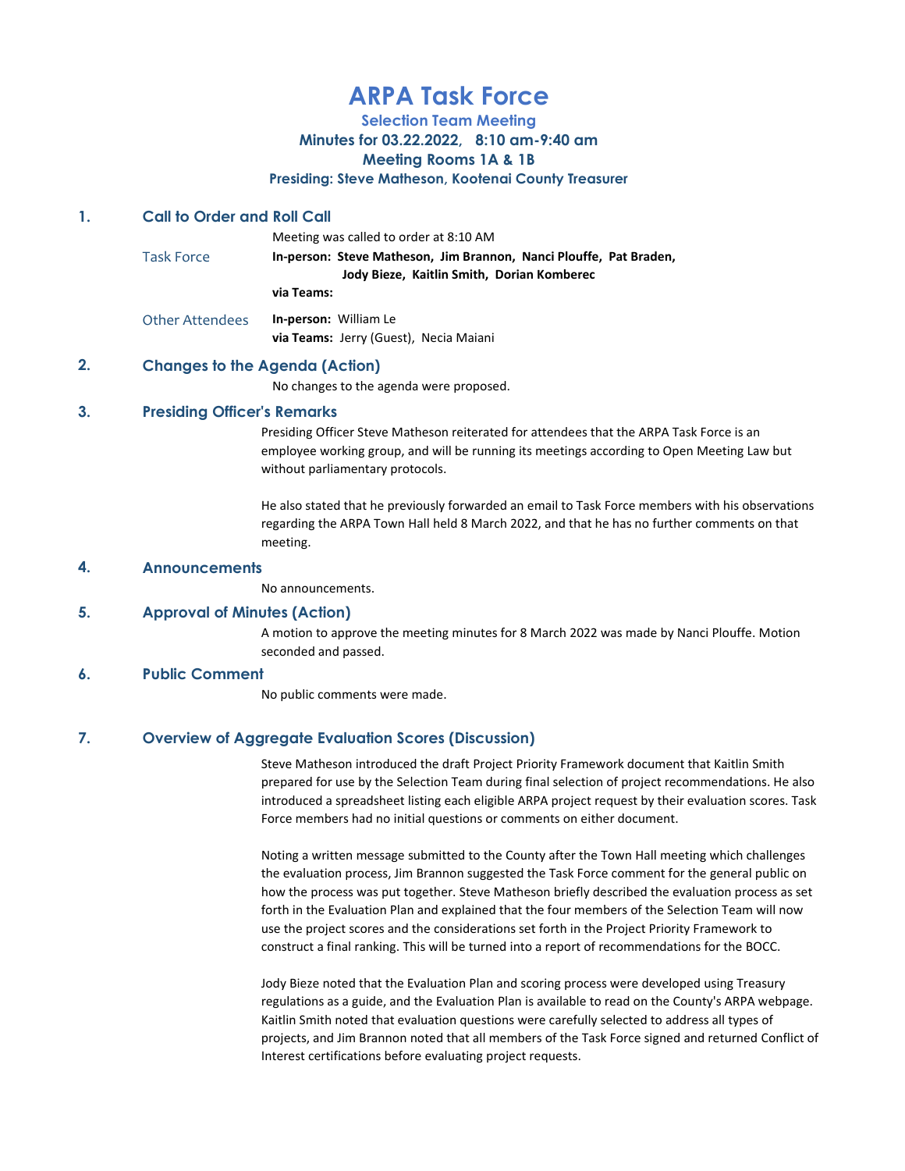# ARPA Task Force

Selection Team Meeting

Minutes for 03.22.2022, 8:10 am-9:40 am

#### Meeting Rooms 1A & 1B

Presiding: Steve Matheson, Kootenai County Treasurer

# 1. Call to Order and Roll Call

Meeting was called to order at 8:10 AM Task Force **In-person: Steve Matheson, Jim Brannon, Nanci Plouffe, Pat Braden,**  Jody Bieze, Kaitlin Smith, Dorian Komberec via Teams: Other Attendees In-person: William Le via Teams: Jerry (Guest), Necia Maiani

# 2. Changes to the Agenda (Action)

No changes to the agenda were proposed.

# 3. Presiding Officer's Remarks

Presiding Officer Steve Matheson reiterated for attendees that the ARPA Task Force is an employee working group, and will be running its meetings according to Open Meeting Law but without parliamentary protocols.

He also stated that he previously forwarded an email to Task Force members with his observations regarding the ARPA Town Hall held 8 March 2022, and that he has no further comments on that meeting.

#### 4. Announcements

No announcements.

#### 5. Approval of Minutes (Action)

A motion to approve the meeting minutes for 8 March 2022 was made by Nanci Plouffe. Motion seconded and passed.

#### 6. Public Comment

No public comments were made.

# 7. Overview of Aggregate Evaluation Scores (Discussion)

Steve Matheson introduced the draft Project Priority Framework document that Kaitlin Smith prepared for use by the Selection Team during final selection of project recommendations. He also introduced a spreadsheet listing each eligible ARPA project request by their evaluation scores. Task Force members had no initial questions or comments on either document.

Noting a written message submitted to the County after the Town Hall meeting which challenges the evaluation process, Jim Brannon suggested the Task Force comment for the general public on how the process was put together. Steve Matheson briefly described the evaluation process as set forth in the Evaluation Plan and explained that the four members of the Selection Team will now use the project scores and the considerations set forth in the Project Priority Framework to construct a final ranking. This will be turned into a report of recommendations for the BOCC.

Jody Bieze noted that the Evaluation Plan and scoring process were developed using Treasury regulations as a guide, and the Evaluation Plan is available to read on the County's ARPA webpage. Kaitlin Smith noted that evaluation questions were carefully selected to address all types of projects, and Jim Brannon noted that all members of the Task Force signed and returned Conflict of Interest certifications before evaluating project requests.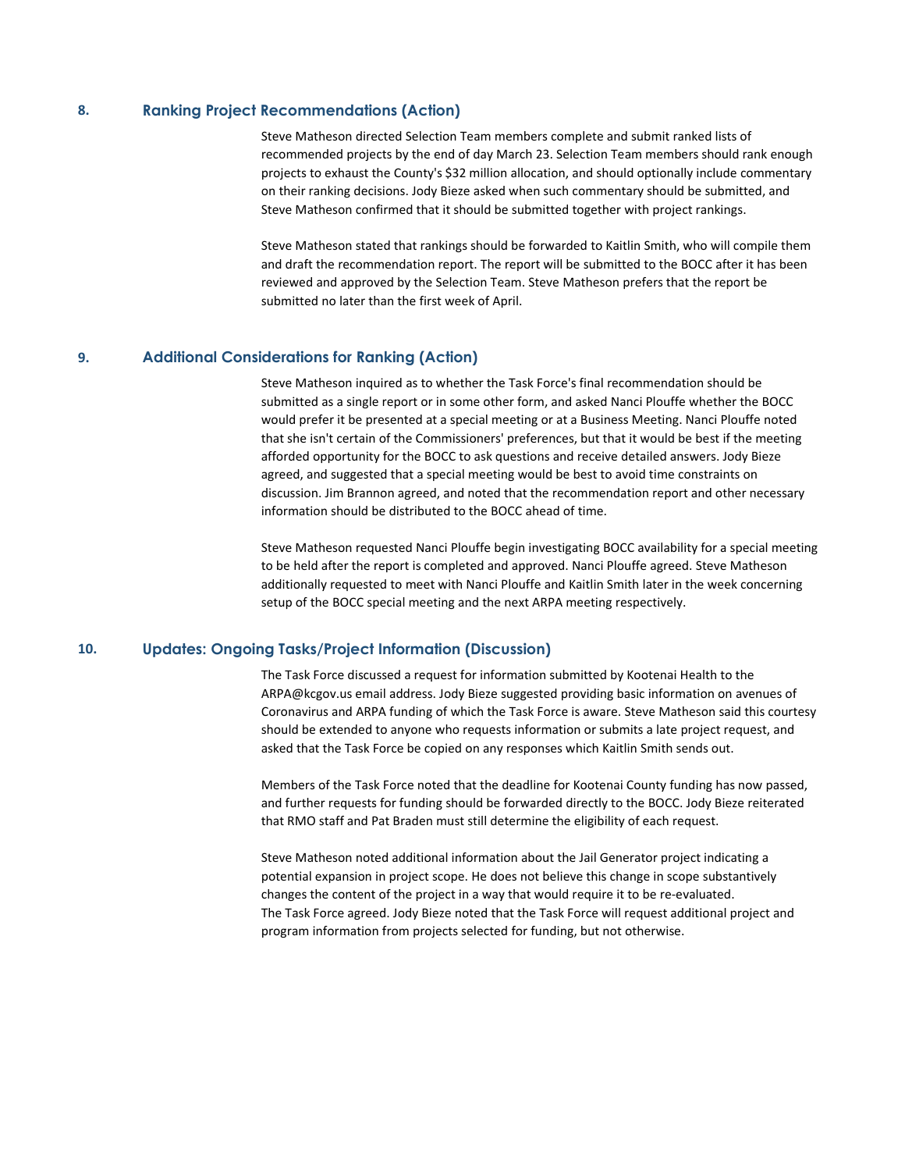#### 8. Ranking Project Recommendations (Action)

Steve Matheson directed Selection Team members complete and submit ranked lists of recommended projects by the end of day March 23. Selection Team members should rank enough projects to exhaust the County's \$32 million allocation, and should optionally include commentary on their ranking decisions. Jody Bieze asked when such commentary should be submitted, and Steve Matheson confirmed that it should be submitted together with project rankings.

Steve Matheson stated that rankings should be forwarded to Kaitlin Smith, who will compile them and draft the recommendation report. The report will be submitted to the BOCC after it has been reviewed and approved by the Selection Team. Steve Matheson prefers that the report be submitted no later than the first week of April.

# 9. Additional Considerations for Ranking (Action)

Steve Matheson inquired as to whether the Task Force's final recommendation should be submitted as a single report or in some other form, and asked Nanci Plouffe whether the BOCC would prefer it be presented at a special meeting or at a Business Meeting. Nanci Plouffe noted that she isn't certain of the Commissioners' preferences, but that it would be best if the meeting afforded opportunity for the BOCC to ask questions and receive detailed answers. Jody Bieze agreed, and suggested that a special meeting would be best to avoid time constraints on discussion. Jim Brannon agreed, and noted that the recommendation report and other necessary information should be distributed to the BOCC ahead of time.

Steve Matheson requested Nanci Plouffe begin investigating BOCC availability for a special meeting to be held after the report is completed and approved. Nanci Plouffe agreed. Steve Matheson additionally requested to meet with Nanci Plouffe and Kaitlin Smith later in the week concerning setup of the BOCC special meeting and the next ARPA meeting respectively.

# 10. Updates: Ongoing Tasks/Project Information (Discussion)

The Task Force discussed a request for information submitted by Kootenai Health to the ARPA@kcgov.us email address. Jody Bieze suggested providing basic information on avenues of Coronavirus and ARPA funding of which the Task Force is aware. Steve Matheson said this courtesy should be extended to anyone who requests information or submits a late project request, and asked that the Task Force be copied on any responses which Kaitlin Smith sends out.

Members of the Task Force noted that the deadline for Kootenai County funding has now passed, and further requests for funding should be forwarded directly to the BOCC. Jody Bieze reiterated that RMO staff and Pat Braden must still determine the eligibility of each request.

Steve Matheson noted additional information about the Jail Generator project indicating a potential expansion in project scope. He does not believe this change in scope substantively changes the content of the project in a way that would require it to be re-evaluated. The Task Force agreed. Jody Bieze noted that the Task Force will request additional project and program information from projects selected for funding, but not otherwise.